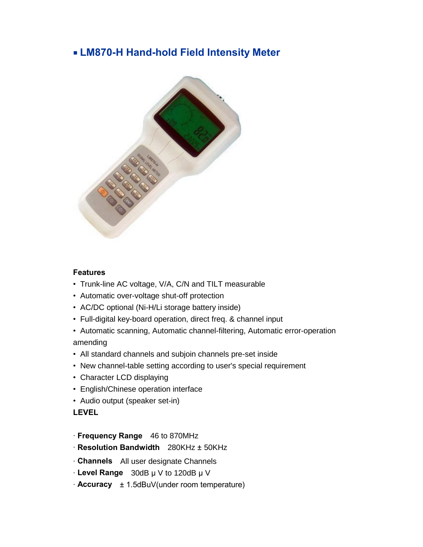# ■ **LM870-H Hand-hold Field Intensity Meter**



#### **Features**

- Trunk-line AC voltage, V/A, C/N and TILT measurable
- Automatic over-voltage shut-off protection
- AC/DC optional (Ni-H/Li storage battery inside)
- Full-digital key-board operation, direct freq. & channel input
- Automatic scanning, Automatic channel-filtering, Automatic error-operation amending
- All standard channels and subjoin channels pre-set inside
- New channel-table setting according to user's special requirement
- Character LCD displaying
- English/Chinese operation interface
- Audio output (speaker set-in)

#### **LEVEL**

- · **Frequency Range** 46 to 870MHz
- · **Resolution Bandwidth** 280KHz ± 50KHz
- · **Channels** All user designate Channels
- $\cdot$  **Level Range** 30dB  $\mu$  V to 120dB  $\mu$  V
- · **Accuracy** ± 1.5dBuV(under room temperature)